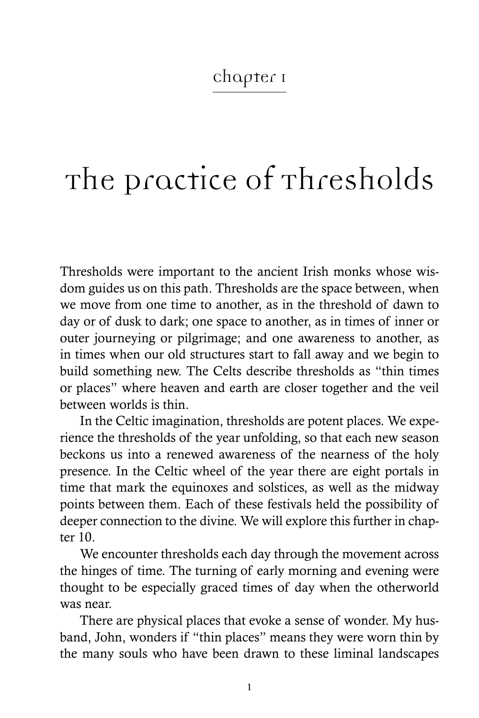# Chapter 1

# The practice of Thresholds

Thresholds were important to the ancient Irish monks whose wisdom guides us on this path. Thresholds are the space between, when we move from one time to another, as in the threshold of dawn to day or of dusk to dark; one space to another, as in times of inner or outer journeying or pilgrimage; and one awareness to another, as in times when our old structures start to fall away and we begin to build something new. The Celts describe thresholds as "thin times or places" where heaven and earth are closer together and the veil between worlds is thin.

In the Celtic imagination, thresholds are potent places. We experience the thresholds of the year unfolding, so that each new season beckons us into a renewed awareness of the nearness of the holy presence. In the Celtic wheel of the year there are eight portals in time that mark the equinoxes and solstices, as well as the midway points between them. Each of these festivals held the possibility of deeper connection to the divine. We will explore this further in chapter 10.

We encounter thresholds each day through the movement across the hinges of time. The turning of early morning and evening were thought to be especially graced times of day when the otherworld was near.

There are physical places that evoke a sense of wonder. My husband, John, wonders if "thin places" means they were worn thin by the many souls who have been drawn to these liminal landscapes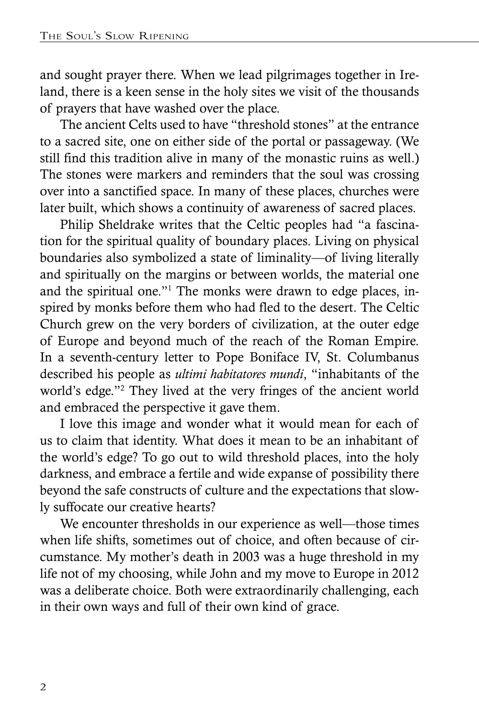and sought prayer there. When we lead pilgrimages together in Ireland, there is a keen sense in the holy sites we visit of the thousands of prayers that have washed over the place.

The ancient Celts used to have "threshold stones" at the entrance to a sacred site, one on either side of the portal or passageway. (We still find this tradition alive in many of the monastic ruins as well.) The stones were markers and reminders that the soul was crossing over into a sanctified space. In many of these places, churches were later built, which shows a continuity of awareness of sacred places.

Philip Sheldrake writes that the Celtic peoples had "a fascination for the spiritual quality of boundary places. Living on physical boundaries also symbolized a state of liminality—of living literally and spiritually on the margins or between worlds, the material one and the spiritual one."1 The monks were drawn to edge places, inspired by monks before them who had fled to the desert. The Celtic Church grew on the very borders of civilization, at the outer edge of Europe and beyond much of the reach of the Roman Empire. In a seventh-century letter to Pope Boniface IV, St. Columbanus described his people as *ultimi habitatores mundi*, "inhabitants of the world's edge."2 They lived at the very fringes of the ancient world and embraced the perspective it gave them.

I love this image and wonder what it would mean for each of us to claim that identity. What does it mean to be an inhabitant of the world's edge? To go out to wild threshold places, into the holy darkness, and embrace a fertile and wide expanse of possibility there beyond the safe constructs of culture and the expectations that slowly suffocate our creative hearts?

We encounter thresholds in our experience as well—those times when life shifts, sometimes out of choice, and often because of circumstance. My mother's death in 2003 was a huge threshold in my life not of my choosing, while John and my move to Europe in 2012 was a deliberate choice. Both were extraordinarily challenging, each in their own ways and full of their own kind of grace.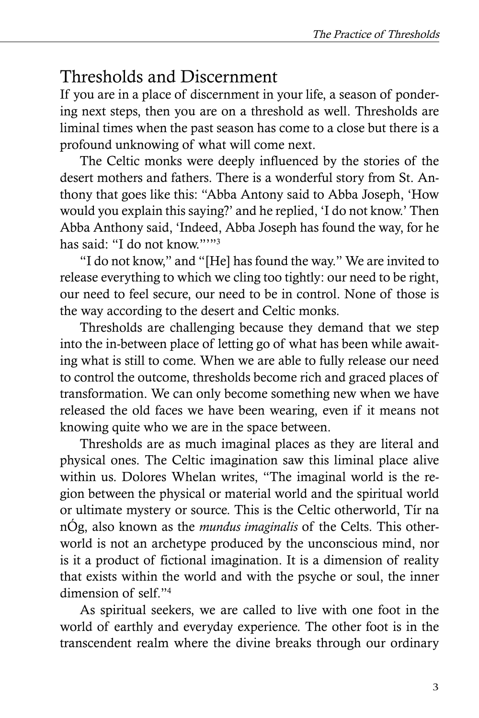## Thresholds and Discernment

If you are in a place of discernment in your life, a season of pondering next steps, then you are on a threshold as well. Thresholds are liminal times when the past season has come to a close but there is a profound unknowing of what will come next.

The Celtic monks were deeply influenced by the stories of the desert mothers and fathers. There is a wonderful story from St. Anthony that goes like this: "Abba Antony said to Abba Joseph, 'How would you explain this saying?' and he replied, 'I do not know.' Then Abba Anthony said, 'Indeed, Abba Joseph has found the way, for he has said: "I do not know.""3

"I do not know," and "[He] has found the way." We are invited to release everything to which we cling too tightly: our need to be right, our need to feel secure, our need to be in control. None of those is the way according to the desert and Celtic monks.

Thresholds are challenging because they demand that we step into the in-between place of letting go of what has been while awaiting what is still to come. When we are able to fully release our need to control the outcome, thresholds become rich and graced places of transformation. We can only become something new when we have released the old faces we have been wearing, even if it means not knowing quite who we are in the space between.

Thresholds are as much imaginal places as they are literal and physical ones. The Celtic imagination saw this liminal place alive within us. Dolores Whelan writes, "The imaginal world is the region between the physical or material world and the spiritual world or ultimate mystery or source. This is the Celtic otherworld, Tír na nÓg, also known as the *mundus imaginalis* of the Celts. This otherworld is not an archetype produced by the unconscious mind, nor is it a product of fictional imagination. It is a dimension of reality that exists within the world and with the psyche or soul, the inner dimension of self."4

As spiritual seekers, we are called to live with one foot in the world of earthly and everyday experience. The other foot is in the transcendent realm where the divine breaks through our ordinary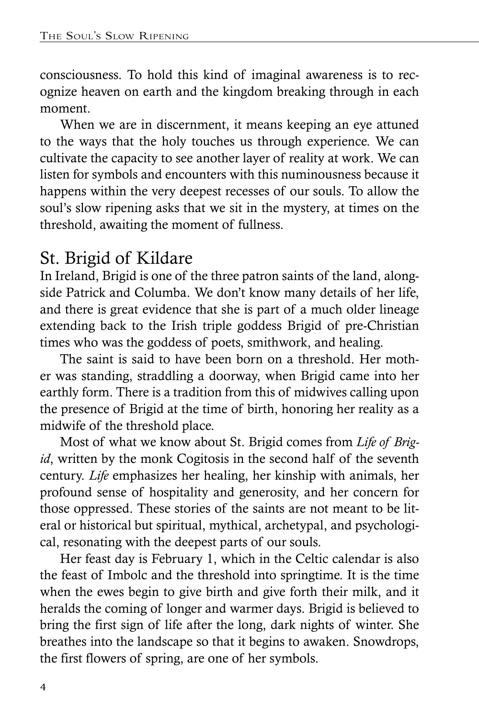consciousness. To hold this kind of imaginal awareness is to recognize heaven on earth and the kingdom breaking through in each moment.

When we are in discernment, it means keeping an eye attuned to the ways that the holy touches us through experience. We can cultivate the capacity to see another layer of reality at work. We can listen for symbols and encounters with this numinousness because it happens within the very deepest recesses of our souls. To allow the soul's slow ripening asks that we sit in the mystery, at times on the threshold, awaiting the moment of fullness.

# St. Brigid of Kildare

In Ireland, Brigid is one of the three patron saints of the land, alongside Patrick and Columba. We don't know many details of her life, and there is great evidence that she is part of a much older lineage extending back to the Irish triple goddess Brigid of pre-Christian times who was the goddess of poets, smithwork, and healing.

The saint is said to have been born on a threshold. Her mother was standing, straddling a doorway, when Brigid came into her earthly form. There is a tradition from this of midwives calling upon the presence of Brigid at the time of birth, honoring her reality as a midwife of the threshold place.

Most of what we know about St. Brigid comes from *Life of Brigid*, written by the monk Cogitosis in the second half of the seventh century. *Life* emphasizes her healing, her kinship with animals, her profound sense of hospitality and generosity, and her concern for those oppressed. These stories of the saints are not meant to be literal or historical but spiritual, mythical, archetypal, and psychological, resonating with the deepest parts of our souls.

Her feast day is February 1, which in the Celtic calendar is also the feast of Imbolc and the threshold into springtime. It is the time when the ewes begin to give birth and give forth their milk, and it heralds the coming of longer and warmer days. Brigid is believed to bring the first sign of life after the long, dark nights of winter. She breathes into the landscape so that it begins to awaken. Snowdrops, the first flowers of spring, are one of her symbols.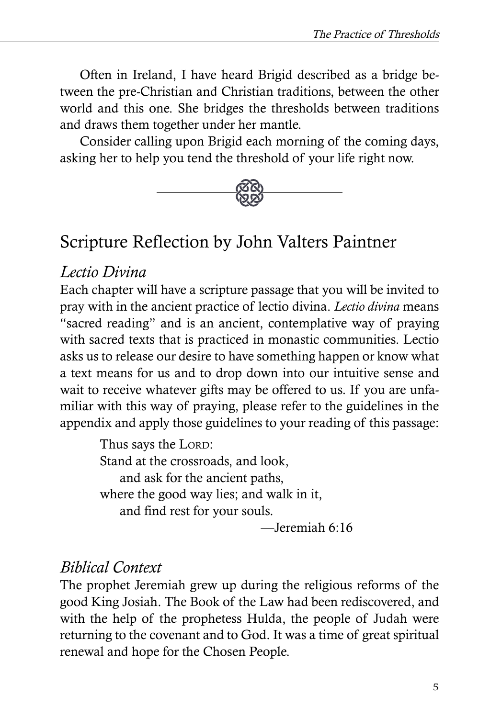Often in Ireland, I have heard Brigid described as a bridge between the pre-Christian and Christian traditions, between the other world and this one. She bridges the thresholds between traditions and draws them together under her mantle.

Consider calling upon Brigid each morning of the coming days, asking her to help you tend the threshold of your life right now.



# Scripture Reflection by John Valters Paintner

#### *Lectio Divina*

Each chapter will have a scripture passage that you will be invited to pray with in the ancient practice of lectio divina. *Lectio divina* means "sacred reading" and is an ancient, contemplative way of praying with sacred texts that is practiced in monastic communities. Lectio asks us to release our desire to have something happen or know what a text means for us and to drop down into our intuitive sense and wait to receive whatever gifts may be offered to us. If you are unfamiliar with this way of praying, please refer to the guidelines in the appendix and apply those guidelines to your reading of this passage:

> Thus says the LORD: Stand at the crossroads, and look, and ask for the ancient paths, where the good way lies; and walk in it, and find rest for your souls.

—Jeremiah 6:16

#### *Biblical Context*

The prophet Jeremiah grew up during the religious reforms of the good King Josiah. The Book of the Law had been rediscovered, and with the help of the prophetess Hulda, the people of Judah were returning to the covenant and to God. It was a time of great spiritual renewal and hope for the Chosen People.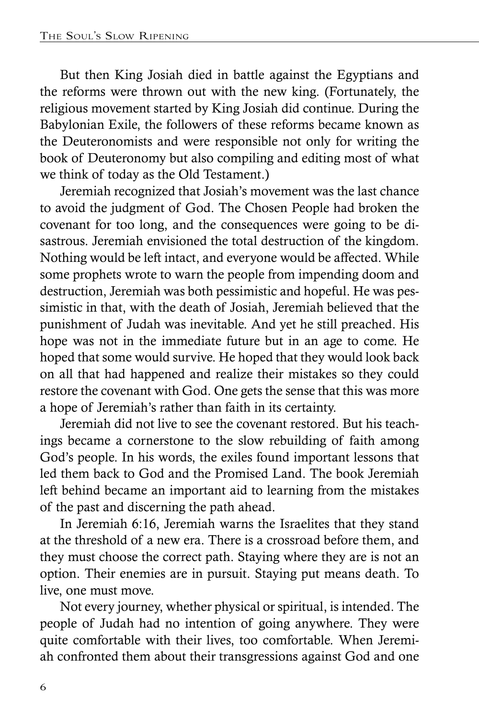But then King Josiah died in battle against the Egyptians and the reforms were thrown out with the new king. (Fortunately, the religious movement started by King Josiah did continue. During the Babylonian Exile, the followers of these reforms became known as the Deuteronomists and were responsible not only for writing the book of Deuteronomy but also compiling and editing most of what we think of today as the Old Testament.)

Jeremiah recognized that Josiah's movement was the last chance to avoid the judgment of God. The Chosen People had broken the covenant for too long, and the consequences were going to be disastrous. Jeremiah envisioned the total destruction of the kingdom. Nothing would be left intact, and everyone would be affected. While some prophets wrote to warn the people from impending doom and destruction, Jeremiah was both pessimistic and hopeful. He was pessimistic in that, with the death of Josiah, Jeremiah believed that the punishment of Judah was inevitable. And yet he still preached. His hope was not in the immediate future but in an age to come. He hoped that some would survive. He hoped that they would look back on all that had happened and realize their mistakes so they could restore the covenant with God. One gets the sense that this was more a hope of Jeremiah's rather than faith in its certainty.

Jeremiah did not live to see the covenant restored. But his teachings became a cornerstone to the slow rebuilding of faith among God's people. In his words, the exiles found important lessons that led them back to God and the Promised Land. The book Jeremiah left behind became an important aid to learning from the mistakes of the past and discerning the path ahead.

In Jeremiah 6:16, Jeremiah warns the Israelites that they stand at the threshold of a new era. There is a crossroad before them, and they must choose the correct path. Staying where they are is not an option. Their enemies are in pursuit. Staying put means death. To live, one must move.

Not every journey, whether physical or spiritual, is intended. The people of Judah had no intention of going anywhere. They were quite comfortable with their lives, too comfortable. When Jeremiah confronted them about their transgressions against God and one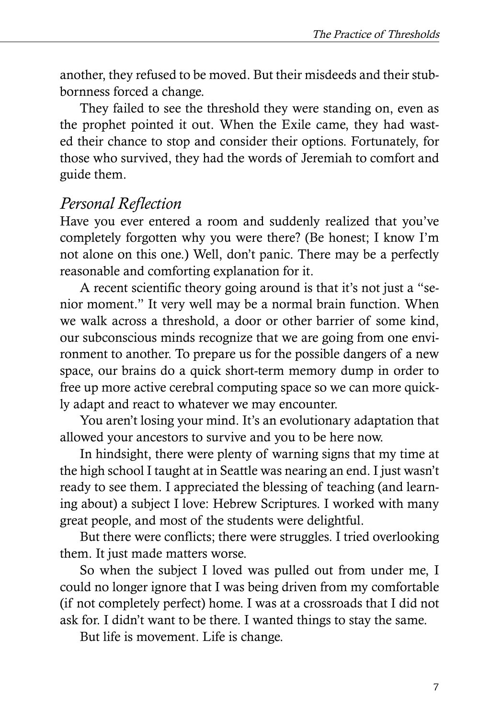another, they refused to be moved. But their misdeeds and their stubbornness forced a change.

They failed to see the threshold they were standing on, even as the prophet pointed it out. When the Exile came, they had wasted their chance to stop and consider their options. Fortunately, for those who survived, they had the words of Jeremiah to comfort and guide them.

### *Personal Reflection*

Have you ever entered a room and suddenly realized that you've completely forgotten why you were there? (Be honest; I know I'm not alone on this one.) Well, don't panic. There may be a perfectly reasonable and comforting explanation for it.

A recent scientific theory going around is that it's not just a "senior moment." It very well may be a normal brain function. When we walk across a threshold, a door or other barrier of some kind, our subconscious minds recognize that we are going from one environment to another. To prepare us for the possible dangers of a new space, our brains do a quick short-term memory dump in order to free up more active cerebral computing space so we can more quickly adapt and react to whatever we may encounter.

You aren't losing your mind. It's an evolutionary adaptation that allowed your ancestors to survive and you to be here now.

In hindsight, there were plenty of warning signs that my time at the high school I taught at in Seattle was nearing an end. I just wasn't ready to see them. I appreciated the blessing of teaching (and learning about) a subject I love: Hebrew Scriptures. I worked with many great people, and most of the students were delightful.

But there were conflicts; there were struggles. I tried overlooking them. It just made matters worse.

So when the subject I loved was pulled out from under me, I could no longer ignore that I was being driven from my comfortable (if not completely perfect) home. I was at a crossroads that I did not ask for. I didn't want to be there. I wanted things to stay the same.

But life is movement. Life is change.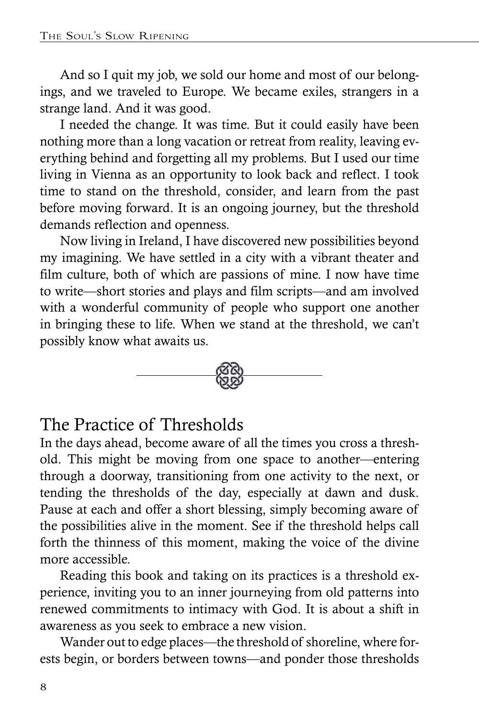And so I quit my job, we sold our home and most of our belongings, and we traveled to Europe. We became exiles, strangers in a strange land. And it was good.

I needed the change. It was time. But it could easily have been nothing more than a long vacation or retreat from reality, leaving everything behind and forgetting all my problems. But I used our time living in Vienna as an opportunity to look back and reflect. I took time to stand on the threshold, consider, and learn from the past before moving forward. It is an ongoing journey, but the threshold demands reflection and openness.

Now living in Ireland, I have discovered new possibilities beyond my imagining. We have settled in a city with a vibrant theater and film culture, both of which are passions of mine. I now have time to write—short stories and plays and film scripts—and am involved with a wonderful community of people who support one another in bringing these to life. When we stand at the threshold, we can't possibly know what awaits us.



## The Practice of Thresholds

In the days ahead, become aware of all the times you cross a threshold. This might be moving from one space to another—entering through a doorway, transitioning from one activity to the next, or tending the thresholds of the day, especially at dawn and dusk. Pause at each and offer a short blessing, simply becoming aware of the possibilities alive in the moment. See if the threshold helps call forth the thinness of this moment, making the voice of the divine more accessible.

Reading this book and taking on its practices is a threshold experience, inviting you to an inner journeying from old patterns into renewed commitments to intimacy with God. It is about a shift in awareness as you seek to embrace a new vision.

Wander out to edge places—the threshold of shoreline, where forests begin, or borders between towns—and ponder those thresholds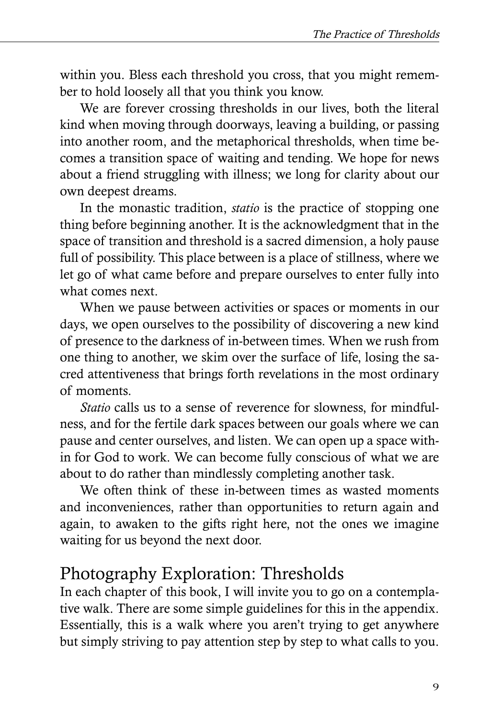within you. Bless each threshold you cross, that you might remember to hold loosely all that you think you know.

We are forever crossing thresholds in our lives, both the literal kind when moving through doorways, leaving a building, or passing into another room, and the metaphorical thresholds, when time becomes a transition space of waiting and tending. We hope for news about a friend struggling with illness; we long for clarity about our own deepest dreams.

In the monastic tradition, *statio* is the practice of stopping one thing before beginning another. It is the acknowledgment that in the space of transition and threshold is a sacred dimension, a holy pause full of possibility. This place between is a place of stillness, where we let go of what came before and prepare ourselves to enter fully into what comes next.

When we pause between activities or spaces or moments in our days, we open ourselves to the possibility of discovering a new kind of presence to the darkness of in-between times. When we rush from one thing to another, we skim over the surface of life, losing the sacred attentiveness that brings forth revelations in the most ordinary of moments.

*Statio* calls us to a sense of reverence for slowness, for mindfulness, and for the fertile dark spaces between our goals where we can pause and center ourselves, and listen. We can open up a space within for God to work. We can become fully conscious of what we are about to do rather than mindlessly completing another task.

We often think of these in-between times as wasted moments and inconveniences, rather than opportunities to return again and again, to awaken to the gifts right here, not the ones we imagine waiting for us beyond the next door.

## Photography Exploration: Thresholds

In each chapter of this book, I will invite you to go on a contemplative walk. There are some simple guidelines for this in the appendix. Essentially, this is a walk where you aren't trying to get anywhere but simply striving to pay attention step by step to what calls to you.